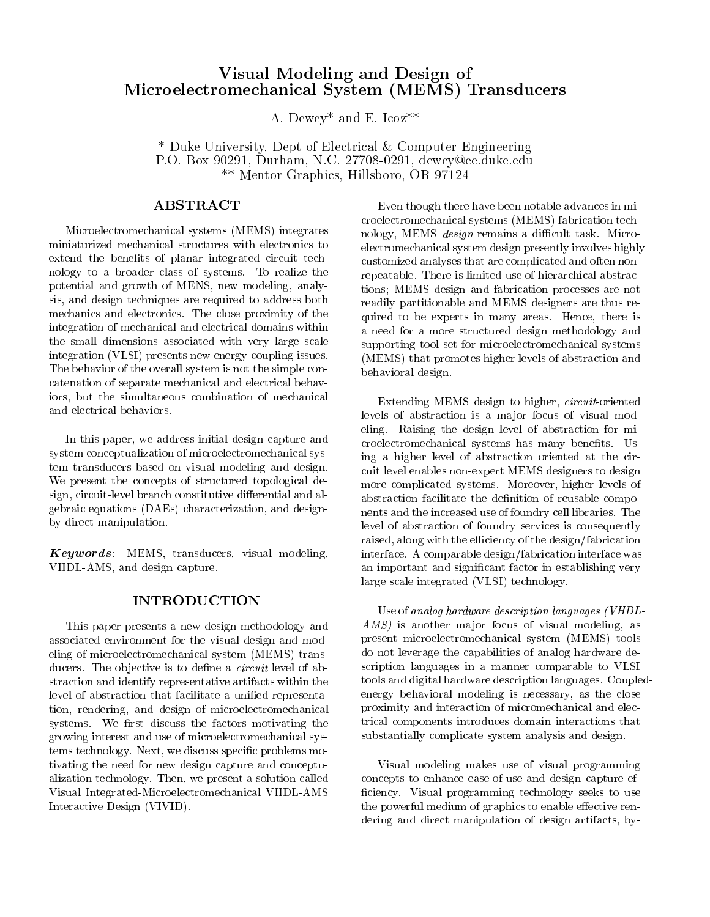# Visual Modeling and Design of Microelectromechanical System (MEMS) Transducers

A. Dewey\* and E. Icoz\*\*

\* Duke University, Dept of Electrical & Computer Engineering P.O. Box 90291, Durham, N.C. 27708-0291, dewey@ee.duke.edu \*\* Mentor Graphics, Hillsboro, OR 97124

Microelectromechanical systems (MEMS) integrates miniaturized mechanical structures with electronics to extend the benefits of planar integrated circuit technology to a broader class of systems. To realize the potential and growth of MENS, new modeling, analysis, and design techniques are required to address both mechanics and electronics. The close proximity of the integration of mechanical and electrical domains within the small dimensions associated with very large scale integration (VLSI) presents new energy-coupling issues. The behavior of the overall system is not the simple concatenation of separate mechanical and electrical behaviors, but the simultaneous combination of mechanical and electrical behaviors.

In this paper, we address initial design capture and system conceptualization of microelectromechanical system transducers based on visual modeling and design. We present the concepts of structured topological design, circuit-level branch constitutive differential and algebraic equations (DAEs) characterization, and designby-direct-manipulation.

 $Keywords:$  MEMS, transducers, visual modeling, VHDL-AMS, and design capture.

## INTRODUCTION

This paper presents a new design methodology and associated environment for the visual design and modeling of microelectromechanical system (MEMS) transducers. The objective is to define a *circuit* level of abstraction and identify representative artifacts within the level of abstraction that facilitate a unified representation, rendering, and design of microelectromechanical systems. We first discuss the factors motivating the growing interest and use of microelectromechanical systems technology. Next, we discuss specic problems motivating the need for new design capture and conceptualization technology. Then, we present a solution called Visual Integrated-Microelectromechanical VHDL-AMS Interactive Design (VIVID).

Even though there have been notable advances in microelectromechanical systems (MEMS) fabrication technology, MEMS *design* remains a difficult task. Microelectromechanical system design presently involves highly customized analyses that are complicated and often nonrepeatable. There is limited use of hierarchical abstractions; MEMS design and fabrication processes are not readily partitionable and MEMS designers are thus required to be experts in many areas. Hence, there is a need for a more structured design methodology and supporting tool set for microelectromechanical systems (MEMS) that promotes higher levels of abstraction and behavioral design.

Extending MEMS design to higher, circuit-oriented levels of abstraction is a major focus of visual modeling. Raising the design level of abstraction for microelectromechanical systems has many benets. Using a higher level of abstraction oriented at the circuit level enables non-expert MEMS designers to design more complicated systems. Moreover, higher levels of abstraction facilitate the definition of reusable components and the increased use of foundry cell libraries. The level of abstraction of foundry services is consequently raised, along with the efficiency of the design/fabrication interface. A comparable design/fabrication interface was an important and signicant factor in establishing very large scale integrated (VLSI) technology.

Use of analog hardware description languages (VHDL- $AMS$ ) is another major focus of visual modeling, as present microelectromechanical system (MEMS) tools do not leverage the capabilities of analog hardware description languages in a manner comparable to VLSI tools and digital hardware description languages. Coupledenergy behavioral modeling is necessary, as the close proximity and interaction of micromechanical and electrical components introduces domain interactions that substantially complicate system analysis and design.

Visual modeling makes use of visual programming concepts to enhance ease-of-use and design capture ef ficiency. Visual programming technology seeks to use the powerful medium of graphics to enable effective rendering and direct manipulation of design artifacts, by-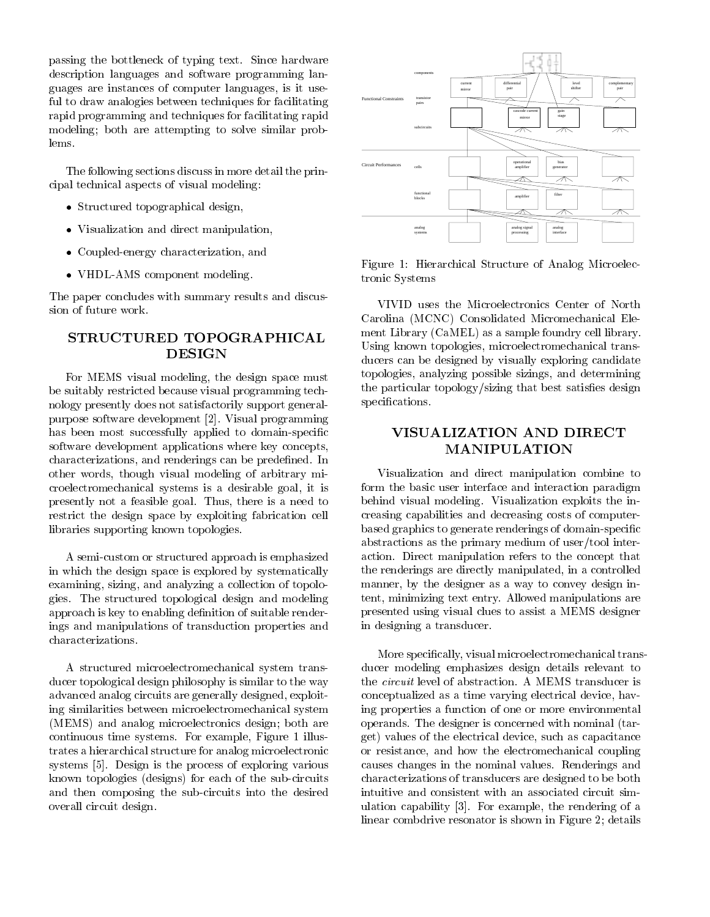passing the bottleneck of typing text. Since hardware description languages and software programming languages are instances of computer languages, is it useful to draw analogies between techniques for facilitating rapid programming and techniques for facilitating rapid modeling; both are attempting to solve similar problems.

The following sections discuss in more detail the principal technical aspects of visual modeling:

- Structured topographical designs, and the structure of the structure of the structure of the structure of the s
- Visualization and direct manipulation,
- Coupled-energy characterization, and
- VHDL-AMS component modeling.

The paper concludes with summary results and discussion of future work.

# STRUCTURED TOPOGRAPHICAL **DESIGN**

For MEMS visual modeling, the design space must be suitably restricted because visual programming technology presently does not satisfactorily support generalpurpose software development [2]. Visual programming has been most successfully applied to domain-specific software development applications where key concepts, characterizations, and renderings can be predefined. In other words, though visual modeling of arbitrary microelectromechanical systems is a desirable goal, it is presently not a feasible goal. Thus, there is a need to restrict the design space by exploiting fabrication cell libraries supporting known topologies.

A semi-custom or structured approach is emphasized in which the design space is explored by systematically examining, sizing, and analyzing a collection of topologies. The structured topological design and modeling approach is key to enabling definition of suitable renderings and manipulations of transduction properties and characterizations.

A structured microelectromechanical system transducer topological design philosophy is similar to the way advanced analog circuits are generally designed, exploiting similarities between microelectromechanical system (MEMS) and analog microelectronics design; both are continuous time systems. For example, Figure 1 illustrates a hierarchical structure for analog microelectronic systems [5]. Design is the process of exploring various known topologies (designs) for each of the sub-circuits and then composing the sub-circuits into the desired overall circuit design.



Figure 1: Hierarchical Structure of Analog Microelectronic Systems

VIVID uses the Microelectronics Center of North Carolina (MCNC) Consolidated Micromechanical Element Library (CaMEL) as a sample foundry cell library. Using known topologies, microelectromechanical transducers can be designed by visually exploring candidate topologies, analyzing possible sizings, and determining the particular topology/sizing that best satisfies design specifications.

# VISUALIZATION AND DIRECT **MANIPULATION**

Visualization and direct manipulation combine to form the basic user interface and interaction paradigm behind visual modeling. Visualization exploits the increasing capabilities and decreasing costs of computerbased graphics to generate renderings of domain-specic abstractions as the primary medium of user/tool interaction. Direct manipulation refers to the concept that the renderings are directly manipulated, in a controlled manner, by the designer as a way to convey design intent, minimizing text entry. Allowed manipulations are presented using visual clues to assist a MEMS designer in designing a transducer.

More specically, visual microelectromechanical transducer modeling emphasizes design details relevant to the *circuit* level of abstraction. A MEMS transducer is conceptualized as a time varying electrical device, having properties a function of one or more environmental operands. The designer is concerned with nominal (target) values of the electrical device, such as capacitance or resistance, and how the electromechanical coupling causes changes in the nominal values. Renderings and characterizations of transducers are designed to be both intuitive and consistent with an associated circuit simulation capability [3]. For example, the rendering of a linear combdrive resonator is shown in Figure 2; details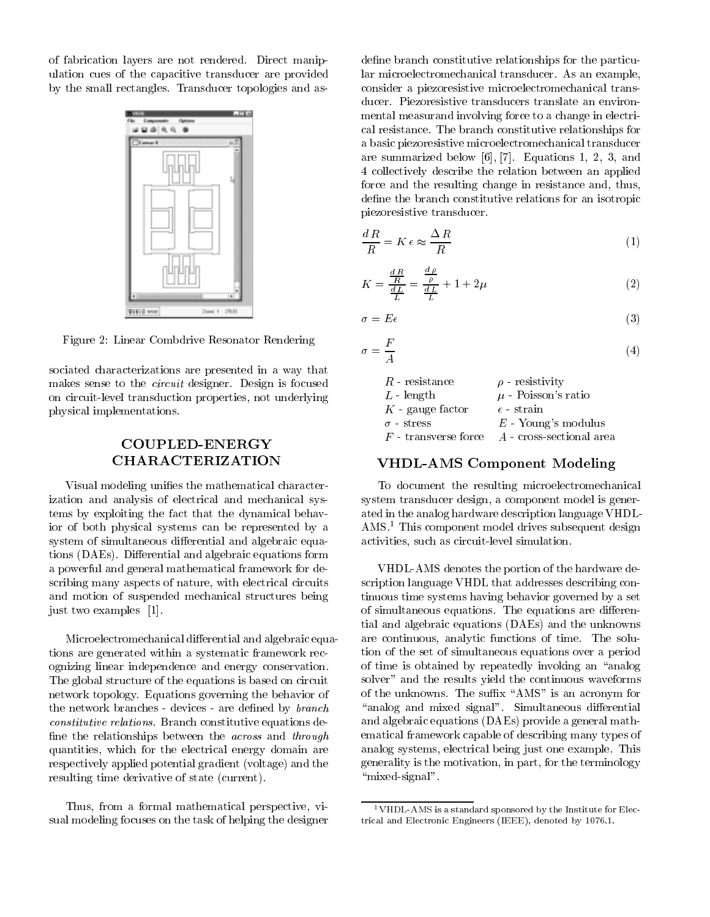of fabrication layers are not rendered. Direct manipulation cues of the capacitive transducer are provided by the small rectangles. Transducer topologies and as-



Figure 2: Linear Combdrive Resonator Rendering

sociated characterizations are presented in a way that makes sense to the circuit designer. Design is focused on circuit-level transduction properties, not underlying physical implementations.

# COUPLED-ENERGY

Visual modeling unifies the mathematical characterization and analysis of electrical and mechanical systems by exploiting the fact that the dynamical behavior of both physical systems can be represented by a system of simultaneous differential and algebraic equations (DAEs). Differential and algebraic equations form a powerful and general mathematical framework for describing many aspects of nature, with electrical circuits and motion of suspended mechanical structures being just two examples [1].

Microelectromechanical differential and algebraic equations are generated within a systematic framework recognizing linear independence and energy conservation. The global structure of the equations is based on circuit network topology. Equations governing the behavior of the network branches - devices - are defined by *branch* constitutive relations. Branch constitutive equations de fine the relationships between the *across* and *through* quantities, which for the electrical energy domain are respectively applied potential gradient (voltage) and the resulting time derivative of state (current).

Thus, from a formal mathematical perspective, visual modeling focuses on the task of helping the designer

define branch constitutive relationships for the particular microelectromechanical transducer. As an example, consider a piezoresistive microelectromechanical transducer. Piezoresistive transducers translate an environmental measurand involving force to a change in electrical resistance. The branch constitutive relationships for a basic piezoresistive microelectromechanical transducer are summarized below [6], [7]. Equations 1, 2, 3, and 4 collectively describe the relation between an applied force and the resulting change in resistance and, thus, define the branch constitutive relations for an isotropic piezoresistive transducer.

$$
\frac{dR}{R} = K \epsilon \approx \frac{\Delta R}{R} \tag{1}
$$

$$
K = \frac{\frac{dR}{R}}{\frac{dL}{L}} = \frac{\frac{d\rho}{\rho}}{\frac{dL}{L}} + 1 + 2\mu
$$
\n<sup>(2)</sup>

$$
\sigma = E\epsilon \tag{3}
$$

 $\overline{1}$ 

$$
\sigma = \frac{F}{A} \tag{4}
$$

| $R$ resistance         | $\rho$ - resistivity     |
|------------------------|--------------------------|
| $L$ - length           | $\mu$ - Poisson's ratio  |
| $K$ - gauge factor     | $\epsilon$ - strain      |
| $\sigma$ - stress      | $E$ - Young's modulus    |
| $F$ - transverse force | A - cross-sectional area |

#### VHDL-AMS Component Modeling

To document the resulting microelectromechanical system transducer design, a component model is generated in the analog hardware description language VHDL-AMS.<sup>1</sup> This component model drives subsequent design activities, such as circuit-level simulation.

VHDL-AMS denotes the portion of the hardware description language VHDL that addresses describing continuous time systems having behavior governed by a set of simultaneous equations. The equations are differential and algebraic equations (DAEs) and the unknowns are continuous, analytic functions of time. The solution of the set of simultaneous equations over a period of time is obtained by repeatedly invoking an "analog" solver" and the results yield the continuous waveforms of the unknowns. The suffix "AMS" is an acronym for "analog and mixed signal". Simultaneous differential and algebraic equations (DAEs) provide a general mathematical framework capable of describing many types of analog systems, electrical being just one example. This generality is the motivation, in part, for the terminology " $mixed-signal"$ .

<sup>1</sup>VHDL-AMS is a standard sponsored by the Institute for Electrical and Electronic Engineers (IEEE), denoted by 1076.1.